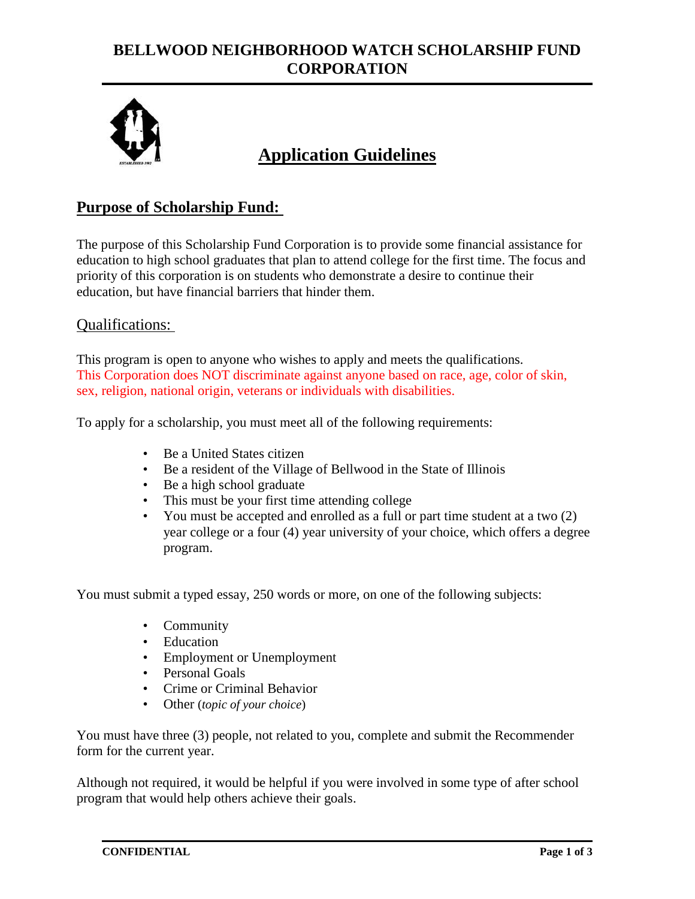# **BELLWOOD NEIGHBORHOOD WATCH SCHOLARSHIP FUND CORPORATION**



# **Application Guidelines**

### **Purpose of Scholarship Fund:**

The purpose of this Scholarship Fund Corporation is to provide some financial assistance for education to high school graduates that plan to attend college for the first time. The focus and priority of this corporation is on students who demonstrate a desire to continue their education, but have financial barriers that hinder them.

#### Qualifications:

This program is open to anyone who wishes to apply and meets the qualifications. This Corporation does NOT discriminate against anyone based on race, age, color of skin, sex, religion, national origin, veterans or individuals with disabilities.

To apply for a scholarship, you must meet all of the following requirements:

- Be a United States citizen
- Be a resident of the Village of Bellwood in the State of Illinois
- Be a high school graduate
- This must be your first time attending college
- You must be accepted and enrolled as a full or part time student at a two (2) year college or a four (4) year university of your choice, which offers a degree program.

You must submit a typed essay, 250 words or more, on one of the following subjects:

- Community
- Education
- Employment or Unemployment
- Personal Goals
- Crime or Criminal Behavior
- Other (*topic of your choice*)

You must have three (3) people, not related to you, complete and submit the Recommender form for the current year.

Although not required, it would be helpful if you were involved in some type of after school program that would help others achieve their goals.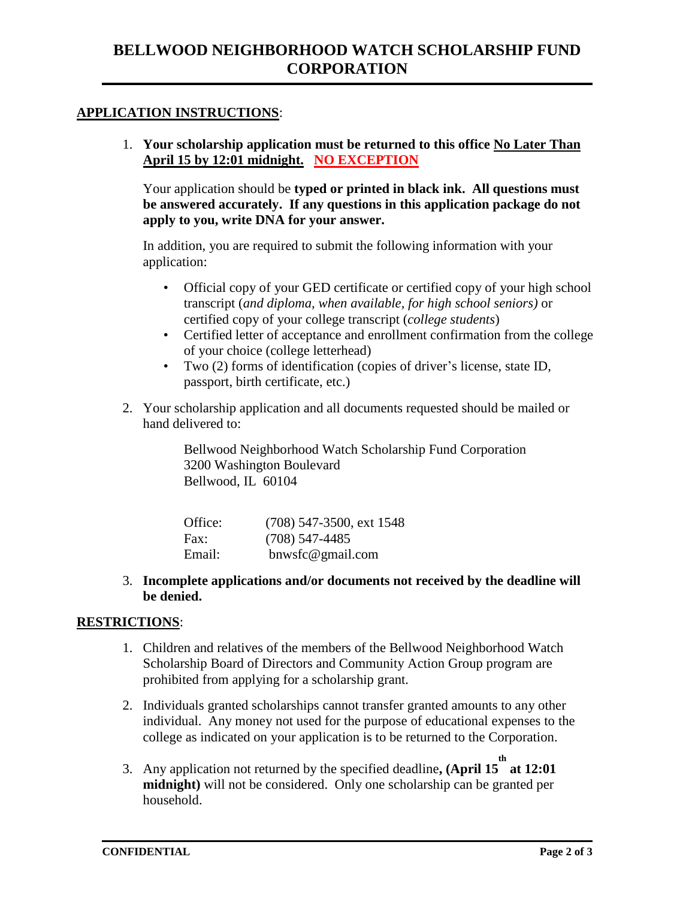#### **APPLICATION INSTRUCTIONS**:

1. **Your scholarship application must be returned to this office No Later Than April 15 by 12:01 midnight. NO EXCEPTION**

Your application should be **typed or printed in black ink. All questions must be answered accurately. If any questions in this application package do not apply to you, write DNA for your answer.** 

In addition, you are required to submit the following information with your application:

- Official copy of your GED certificate or certified copy of your high school transcript (*and diploma, when available, for high school seniors)* or certified copy of your college transcript (*college students*)
- Certified letter of acceptance and enrollment confirmation from the college of your choice (college letterhead)
- Two (2) forms of identification (copies of driver's license, state ID, passport, birth certificate, etc.)
- 2. Your scholarship application and all documents requested should be mailed or hand delivered to:

Bellwood Neighborhood Watch Scholarship Fund Corporation 3200 Washington Boulevard Bellwood, IL 60104

| Office: | $(708)$ 547-3500, ext 1548 |
|---------|----------------------------|
| Fax:    | $(708)$ 547-4485           |
| Email:  | bnwsfc@gmail.com           |

3. **Incomplete applications and/or documents not received by the deadline will be denied.** 

#### **RESTRICTIONS**:

- 1. Children and relatives of the members of the Bellwood Neighborhood Watch Scholarship Board of Directors and Community Action Group program are prohibited from applying for a scholarship grant.
- 2. Individuals granted scholarships cannot transfer granted amounts to any other individual. Any money not used for the purpose of educational expenses to the college as indicated on your application is to be returned to the Corporation.
- 3. Any application not returned by the specified deadline**, (April 15 th at 12:01 midnight)** will not be considered. Only one scholarship can be granted per household.